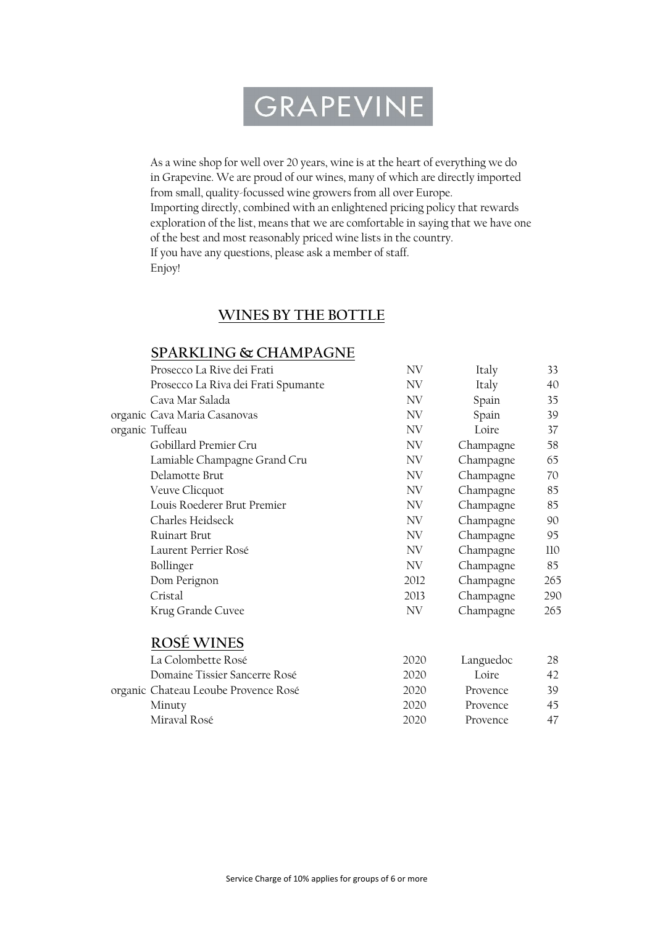# GRAPEVINE

As a wine shop for well over 20 years, wine is at the heart of everything we do in Grapevine. We are proud of our wines, many of which are directly imported from small, quality-focussed wine growers from all over Europe. Importing directly, combined with an enlightened pricing policy that rewards exploration of the list, means that we are comfortable in saying that we have one of the best and most reasonably priced wine lists in the country. If you have any questions, please ask a member of staff. Enjoy!

#### WINES BY THE BOTTLE

#### SPARKLING & CHAMPAGNE

| Prosecco La Rive dei Frati          | NV   | Italy     | 33  |
|-------------------------------------|------|-----------|-----|
| Prosecco La Riva dei Frati Spumante | NV   | Italy     | 40  |
| Cava Mar Salada                     | NV   | Spain     | 35  |
| organic Cava Maria Casanovas        | NV   | Spain     | 39  |
| organic Tuffeau                     | NV   | Loire     | 37  |
| Gobillard Premier Cru               | NV   | Champagne | 58  |
| Lamiable Champagne Grand Cru        | NV.  | Champagne | 65  |
| Delamotte Brut                      | NV   | Champagne | 70  |
| Veuve Clicquot                      | NV   | Champagne | 85  |
| Louis Roederer Brut Premier         | NV   | Champagne | 85  |
| Charles Heidseck                    | NV   | Champagne | 90  |
| Ruinart Brut                        | NV   | Champagne | 95  |
| Laurent Perrier Rosé                | NV   | Champagne | 110 |
| Bollinger                           | NV.  | Champagne | 85  |
| Dom Perignon                        | 2012 | Champagne | 265 |
| Cristal                             | 2013 | Champagne | 290 |
| Krug Grande Cuvee                   | NV   | Champagne | 265 |
|                                     |      |           |     |

#### ROSÉ WINES

| La Colombette Rosé                   | 2020 | Languedoc | 28  |
|--------------------------------------|------|-----------|-----|
| Domaine Tissier Sancerre Rosé        | 2020 | I oire    | 42. |
| organic Chateau Leoube Provence Rosé | 2020 | Provence  | 39. |
| Minuty                               | 2020 | Provence  | 45. |
| Miraval Rosé                         | 2020 | Provence  |     |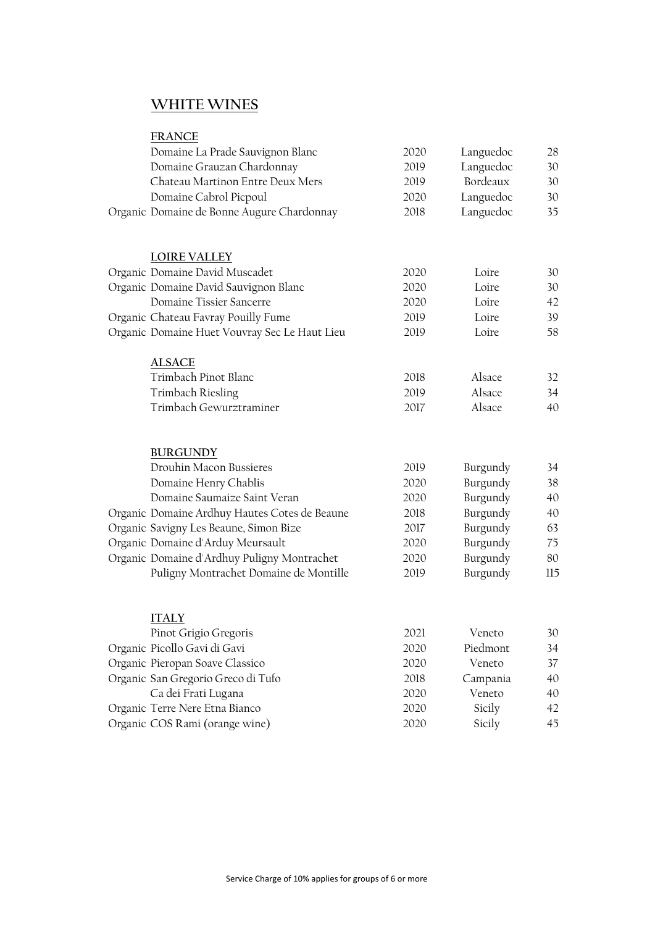## WHITE WINES

| <b>FRANCE</b>                                 |      |                                        |               |
|-----------------------------------------------|------|----------------------------------------|---------------|
| Domaine La Prade Sauvignon Blanc              | 2020 | Languedoc                              | 28            |
| Domaine Grauzan Chardonnay                    | 2019 | Languedoc                              | 30            |
| Chateau Martinon Entre Deux Mers              | 2019 | Bordeaux                               | 30            |
| Domaine Cabrol Picpoul                        | 2020 | Languedoc                              | 30            |
| Organic Domaine de Bonne Augure Chardonnay    | 2018 | Languedoc                              | 35            |
| <b>LOIRE VALLEY</b>                           |      |                                        |               |
| Organic Domaine David Muscadet                | 2020 | Loire                                  | 30            |
| Organic Domaine David Sauvignon Blanc         | 2020 | Loire                                  | 30            |
| Domaine Tissier Sancerre                      | 2020 | Loire                                  | 42            |
| Organic Chateau Favray Pouilly Fume           | 2019 | Loire                                  | 39            |
| Organic Domaine Huet Vouvray Sec Le Haut Lieu | 2019 | Loire                                  | 58            |
| <b>ALSACE</b>                                 |      |                                        |               |
| Trimbach Pinot Blanc                          | 2018 | Alsace                                 | 32            |
| Trimbach Riesling                             | 2019 | Alsace                                 | 34            |
| Trimbach Gewurztraminer                       | 2017 | Alsace                                 | 40            |
| <b>BURGUNDY</b>                               |      |                                        |               |
| Drouhin Macon Bussieres                       | 2019 | Burgundy                               | 34            |
| Domaine Henry Chablis                         | 2020 | Burgundy                               | 38            |
| Domaine Saumaize Saint Veran                  | 2020 | Burgundy                               | 40            |
| Organic Domaine Ardhuy Hautes Cotes de Beaune | 2018 | Burgundy                               | 40            |
| Organic Savigny Les Beaune, Simon Bize        | 2017 | Burgundy                               | 63            |
| Organic Domaine d'Arduy Meursault             | 2020 | Burgundy                               | 75            |
| Organic Domaine d'Ardhuy Puligny Montrachet   | 2020 | Burgundy                               | 80            |
| Puligny Montrachet Domaine de Montille        | 2019 | Burgundy                               | 115           |
| <b>ITALY</b>                                  |      |                                        |               |
| Pinot Grigio Gregoris                         | 2021 | Veneto                                 | 30            |
| Organic Picollo Gavi di Gavi                  | 2020 | Piedmont                               | 34            |
| $\Omega$ $\Omega$ $\Omega$ $\Omega$ $\Omega$  | 2022 | $\mathbf{v}$ $\mathbf{v}$ $\mathbf{v}$ | $\rightarrow$ |

| Organic Pieropan Soave Classico    | 2020 | Veneto   | 37  |
|------------------------------------|------|----------|-----|
| Organic San Gregorio Greco di Tufo | 2018 | Campania | 40  |
| Ca dei Frati Lugana                | 2020 | Veneto   | 40  |
| Organic Terre Nere Etna Bianco     | 2020 | Sicily   | 42  |
| Organic COS Rami (orange wine)     | 2020 | Sicily   | 45. |
|                                    |      |          |     |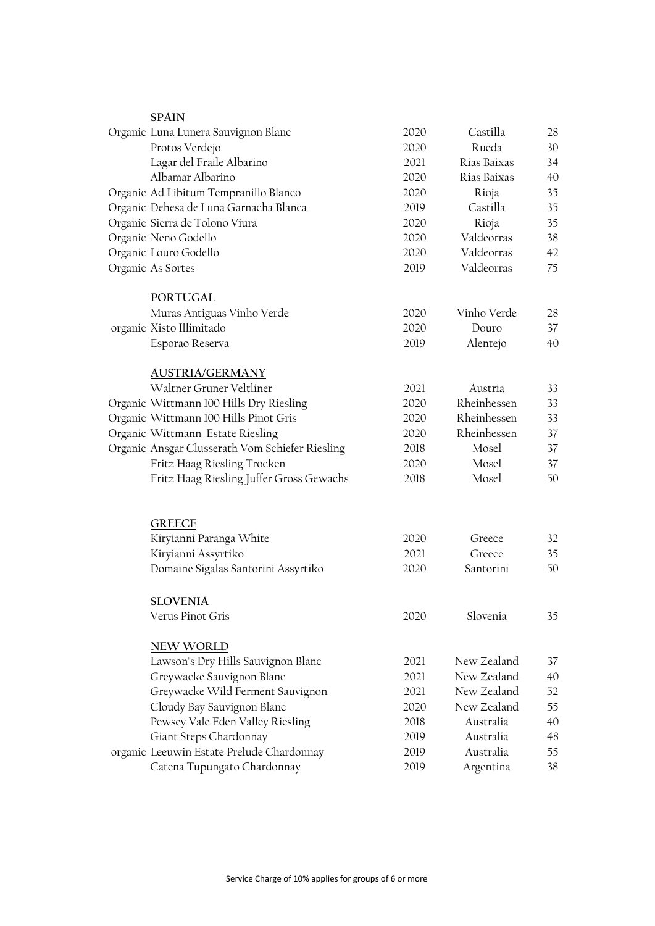| <b>SPAIN</b>                                    |      |                     |    |
|-------------------------------------------------|------|---------------------|----|
| Organic Luna Lunera Sauvignon Blanc             | 2020 | Castilla            | 28 |
| Protos Verdejo                                  | 2020 | Rueda               | 30 |
| Lagar del Fraile Albarino                       | 2021 | Rias Baixas         | 34 |
| Albamar Albarino                                | 2020 | Rias Baixas         | 40 |
| Organic Ad Libitum Tempranillo Blanco           | 2020 | Rioja               | 35 |
| Organic Dehesa de Luna Garnacha Blanca          | 2019 | Castilla            | 35 |
| Organic Sierra de Tolono Viura                  | 2020 | Rioja               | 35 |
| Organic Neno Godello                            | 2020 | Valdeorras          | 38 |
| Organic Louro Godello                           | 2020 | Valdeorras          | 42 |
| Organic As Sortes                               | 2019 | Valdeorras          | 75 |
| PORTUGAL                                        |      |                     |    |
| Muras Antiguas Vinho Verde                      | 2020 | Vinho Verde         | 28 |
| organic Xisto Illimitado                        | 2020 | Douro               | 37 |
| Esporao Reserva                                 | 2019 | Alentejo            | 40 |
| <b>AUSTRIA/GERMANY</b>                          |      |                     |    |
| Waltner Gruner Veltliner                        | 2021 | Austria             | 33 |
| Organic Wittmann 100 Hills Dry Riesling         | 2020 | Rheinhessen         | 33 |
| Organic Wittmann 100 Hills Pinot Gris           | 2020 | Rheinhessen         | 33 |
| Organic Wittmann Estate Riesling                | 2020 | Rheinhessen         | 37 |
| Organic Ansgar Clusserath Vom Schiefer Riesling | 2018 | Mosel               | 37 |
| Fritz Haag Riesling Trocken                     | 2020 | Mosel               | 37 |
| Fritz Haag Riesling Juffer Gross Gewachs        | 2018 | Mosel               | 50 |
|                                                 |      |                     |    |
| <b>GREECE</b>                                   | 2020 |                     |    |
| Kiryianni Paranga White                         |      | Greece              | 32 |
| Kiryianni Assyrtiko                             | 2021 | Greece<br>Santorini | 35 |
| Domaine Sigalas Santorini Assyrtiko             | 2020 |                     | 50 |
| SLOVENIA                                        |      |                     |    |
| Verus Pinot Gris                                | 2020 | Slovenia            | 35 |
| <b>NEW WORLD</b>                                |      |                     |    |
| Lawson's Dry Hills Sauvignon Blanc              | 2021 | New Zealand         | 37 |
| Greywacke Sauvignon Blanc                       | 2021 | New Zealand         | 40 |
| Greywacke Wild Ferment Sauvignon                | 2021 | New Zealand         | 52 |
| Cloudy Bay Sauvignon Blanc                      | 2020 | New Zealand         | 55 |
| Pewsey Vale Eden Valley Riesling                | 2018 | Australia           | 40 |
| Giant Steps Chardonnay                          | 2019 | Australia           | 48 |
| organic Leeuwin Estate Prelude Chardonnay       | 2019 | Australia           | 55 |
| Catena Tupungato Chardonnay                     | 2019 | Argentina           | 38 |
|                                                 |      |                     |    |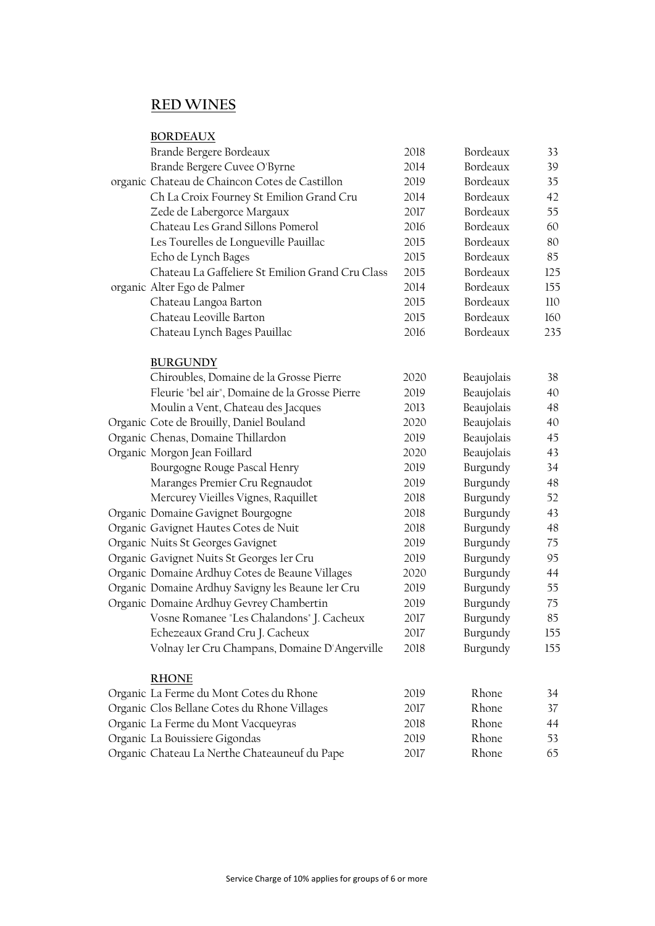### RED WINES

| <b>BORDEAUX</b>                                   |      |            |     |
|---------------------------------------------------|------|------------|-----|
| Brande Bergere Bordeaux                           | 2018 | Bordeaux   | 33  |
| Brande Bergere Cuvee O'Byrne                      | 2014 | Bordeaux   | 39  |
| organic Chateau de Chaincon Cotes de Castillon    | 2019 | Bordeaux   | 35  |
| Ch La Croix Fourney St Emilion Grand Cru          | 2014 | Bordeaux   | 42  |
| Zede de Labergorce Margaux                        | 2017 | Bordeaux   | 55  |
| Chateau Les Grand Sillons Pomerol                 | 2016 | Bordeaux   | 60  |
| Les Tourelles de Longueville Pauillac             | 2015 | Bordeaux   | 80  |
| Echo de Lynch Bages                               | 2015 | Bordeaux   | 85  |
| Chateau La Gaffeliere St Emilion Grand Cru Class  | 2015 | Bordeaux   | 125 |
| organic Alter Ego de Palmer                       | 2014 | Bordeaux   | 155 |
| Chateau Langoa Barton                             | 2015 | Bordeaux   | 110 |
| Chateau Leoville Barton                           | 2015 | Bordeaux   | 160 |
| Chateau Lynch Bages Pauillac                      | 2016 | Bordeaux   | 235 |
| <b>BURGUNDY</b>                                   |      |            |     |
| Chiroubles, Domaine de la Grosse Pierre           | 2020 | Beaujolais | 38  |
| Fleurie "bel air", Domaine de la Grosse Pierre    | 2019 | Beaujolais | 40  |
| Moulin a Vent, Chateau des Jacques                | 2013 | Beaujolais | 48  |
| Organic Cote de Brouilly, Daniel Bouland          | 2020 | Beaujolais | 40  |
| Organic Chenas, Domaine Thillardon                | 2019 | Beaujolais | 45  |
| Organic Morgon Jean Foillard                      | 2020 | Beaujolais | 43  |
| Bourgogne Rouge Pascal Henry                      | 2019 | Burgundy   | 34  |
| Maranges Premier Cru Regnaudot                    | 2019 | Burgundy   | 48  |
| Mercurey Vieilles Vignes, Raquillet               | 2018 | Burgundy   | 52  |
| Organic Domaine Gavignet Bourgogne                | 2018 | Burgundy   | 43  |
| Organic Gavignet Hautes Cotes de Nuit             | 2018 | Burgundy   | 48  |
| Organic Nuits St Georges Gavignet                 | 2019 | Burgundy   | 75  |
| Organic Gavignet Nuits St Georges ler Cru         | 2019 | Burgundy   | 95  |
| Organic Domaine Ardhuy Cotes de Beaune Villages   | 2020 | Burgundy   | 44  |
| Organic Domaine Ardhuy Savigny les Beaune ler Cru | 2019 | Burgundy   | 55  |
| Organic Domaine Ardhuy Gevrey Chambertin          | 2019 | Burgundy   | 75  |
| Vosne Romanee "Les Chalandons" J. Cacheux         | 2017 | Burgundy   | 85  |
| Echezeaux Grand Cru J. Cacheux                    | 2017 | Burgundy   | 155 |
| Volnay ler Cru Champans, Domaine D'Angerville     | 2018 | Burgundy   | 155 |
| <b>RHONE</b>                                      |      |            |     |
| Organic La Ferme du Mont Cotes du Rhone           | 2019 | Rhone      | 34  |
| Organic Clos Bellane Cotes du Rhone Villages      | 2017 | Rhone      | 37  |
| Organic La Ferme du Mont Vacqueyras               | 2018 | Rhone      | 44  |
| Organic La Bouissiere Gigondas                    | 2019 | Rhone      | 53  |
| Organic Chateau La Nerthe Chateauneuf du Pape     | 2017 | Rhone      | 65  |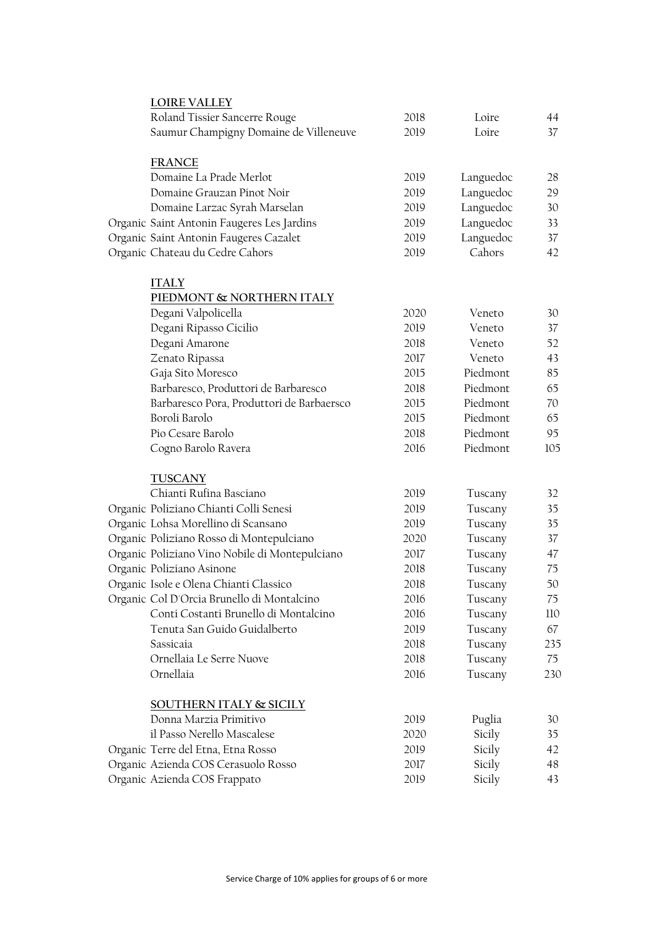| <b>LOIRE VALLEY</b>                            |      |           |     |
|------------------------------------------------|------|-----------|-----|
| Roland Tissier Sancerre Rouge                  | 2018 | Loire     | 44  |
| Saumur Champigny Domaine de Villeneuve         | 2019 | Loire     | 37  |
| <b>FRANCE</b>                                  |      |           |     |
| Domaine La Prade Merlot                        | 2019 | Languedoc | 28  |
| Domaine Grauzan Pinot Noir                     | 2019 | Languedoc | 29  |
| Domaine Larzac Syrah Marselan                  | 2019 | Languedoc | 30  |
| Organic Saint Antonin Faugeres Les Jardins     | 2019 | Languedoc | 33  |
| Organic Saint Antonin Faugeres Cazalet         | 2019 | Languedoc | 37  |
| Organic Chateau du Cedre Cahors                | 2019 | Cahors    | 42  |
| <b>ITALY</b>                                   |      |           |     |
| PIEDMONT & NORTHERN ITALY                      |      |           |     |
| Degani Valpolicella                            | 2020 | Veneto    | 30  |
| Degani Ripasso Cicilio                         | 2019 | Veneto    | 37  |
| Degani Amarone                                 | 2018 | Veneto    | 52  |
| Zenato Ripassa                                 | 2017 | Veneto    | 43  |
| Gaja Sito Moresco                              | 2015 | Piedmont  | 85  |
| Barbaresco, Produttori de Barbaresco           | 2018 | Piedmont  | 65  |
| Barbaresco Pora, Produttori de Barbaersco      | 2015 | Piedmont  | 70  |
| Boroli Barolo                                  | 2015 | Piedmont  | 65  |
| Pio Cesare Barolo                              | 2018 | Piedmont  | 95  |
| Cogno Barolo Ravera                            | 2016 | Piedmont  | 105 |
| <b>TUSCANY</b>                                 |      |           |     |
| Chianti Rufina Basciano                        | 2019 | Tuscany   | 32  |
| Organic Poliziano Chianti Colli Senesi         | 2019 | Tuscany   | 35  |
| Organic Lohsa Morellino di Scansano            | 2019 | Tuscany   | 35  |
| Organic Poliziano Rosso di Montepulciano       | 2020 | Tuscany   | 37  |
| Organic Poliziano Vino Nobile di Montepulciano | 2017 | Tuscany   | 47  |
| Organic Poliziano Asinone                      | 2018 | Tuscany   | 75  |
| Organic Isole e Olena Chianti Classico         | 2018 | Tuscany   | 50  |
| Organic Col D'Orcia Brunello di Montalcino     | 2016 | Tuscany   | 75  |
| Conti Costanti Brunello di Montalcino          | 2016 | Tuscany   | 110 |
| Tenuta San Guido Guidalberto                   | 2019 | Tuscany   | 67  |
| Sassicaia                                      | 2018 | Tuscany   | 235 |
| Ornellaia Le Serre Nuove                       | 2018 | Tuscany   | 75  |
| Ornellaia                                      | 2016 | Tuscany   | 230 |
| SOUTHERN ITALY & SICILY                        |      |           |     |
| Donna Marzia Primitivo                         | 2019 | Puglia    | 30  |
| il Passo Nerello Mascalese                     | 2020 | Sicily    | 35  |
| Organic Terre del Etna, Etna Rosso             | 2019 | Sicily    | 42  |
| Organic Azienda COS Cerasuolo Rosso            | 2017 | Sicily    | 48  |
| Organic Azienda COS Frappato                   | 2019 | Sicily    | 43  |
|                                                |      |           |     |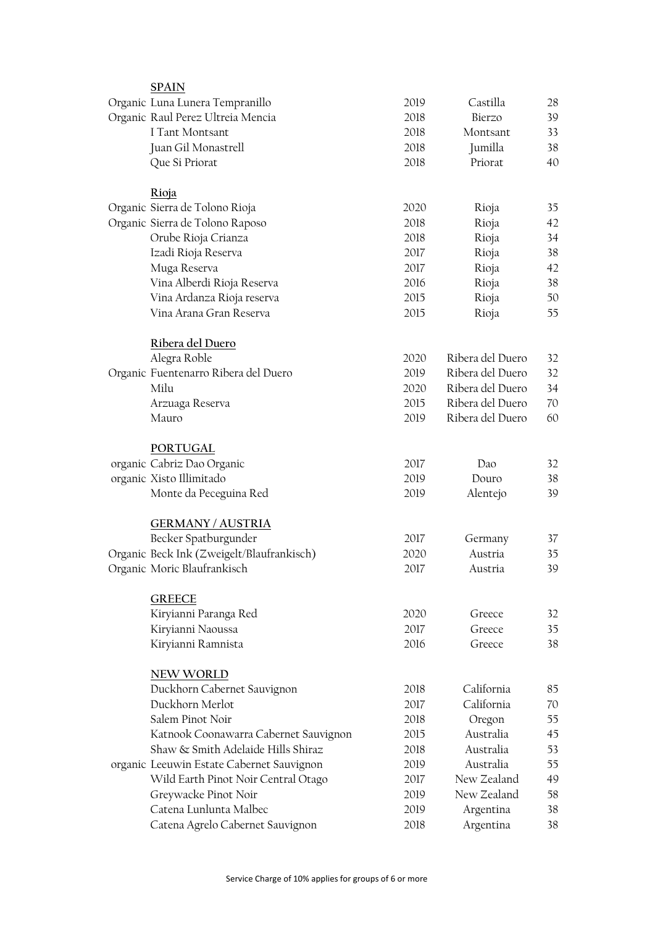| <b>SPAIN</b>                              |      |                  |                 |
|-------------------------------------------|------|------------------|-----------------|
| Organic Luna Lunera Tempranillo           | 2019 | Castilla         | 28              |
| Organic Raul Perez Ultreia Mencia         | 2018 | Bierzo           | 39              |
| I Tant Montsant                           | 2018 | Montsant         | 33              |
| Juan Gil Monastrell                       | 2018 | Jumilla          | 38              |
| Que Si Priorat                            | 2018 | Priorat          | 40              |
| Rioja                                     |      |                  |                 |
| Organic Sierra de Tolono Rioja            | 2020 | Rioja            | 35              |
| Organic Sierra de Tolono Raposo           | 2018 | Rioja            | 42              |
| Orube Rioja Crianza                       | 2018 | Rioja            | 34              |
| Izadi Rioja Reserva                       | 2017 | Rioja            | 38              |
| Muga Reserva                              | 2017 | Rioja            | 42              |
| Vina Alberdi Rioja Reserva                | 2016 | Rioja            | 38              |
| Vina Ardanza Rioja reserva                | 2015 | Rioja            | 50              |
| Vina Arana Gran Reserva                   | 2015 | Rioja            | 55              |
| Ribera del Duero                          |      |                  |                 |
| Alegra Roble                              | 2020 | Ribera del Duero | 32              |
| Organic Fuentenarro Ribera del Duero      | 2019 | Ribera del Duero | 32              |
| Milu                                      | 2020 | Ribera del Duero | 34              |
| Arzuaga Reserva                           | 2015 | Ribera del Duero | 70              |
| Mauro                                     | 2019 | Ribera del Duero | 60              |
| PORTUGAL                                  |      |                  |                 |
| organic Cabriz Dao Organic                | 2017 | Dao              | 32              |
| organic Xisto Illimitado                  | 2019 | Douro            | 38              |
| Monte da Peceguina Red                    | 2019 | Alentejo         | 39              |
| <b>GERMANY/AUSTRIA</b>                    |      |                  |                 |
| Becker Spatburgunder                      | 2017 | Germany          | 37              |
| Organic Beck Ink (Zweigelt/Blaufrankisch) | 2020 | Austria          | 35              |
| Organic Moric Blaufrankisch               | 2017 | Austria          | 39              |
| <b>GREECE</b>                             |      |                  |                 |
| Kiryianni Paranga Red                     | 2020 | Greece           | 32              |
| Kiryianni Naoussa                         | 2017 | Greece           | 35 <sub>1</sub> |
| Kiryianni Ramnista                        | 2016 | Greece           | 38              |
| NEW WORLD                                 |      |                  |                 |
| Duckhorn Cabernet Sauvignon               | 2018 | California       | 85              |
| Duckhorn Merlot                           | 2017 | California       | 70              |
| Salem Pinot Noir                          | 2018 | Oregon           | 55              |
| Katnook Coonawarra Cabernet Sauvignon     | 2015 | Australia        | 45              |
| Shaw & Smith Adelaide Hills Shiraz        | 2018 | Australia        | 53              |
| organic Leeuwin Estate Cabernet Sauvignon | 2019 | Australia        | 55              |
| Wild Earth Pinot Noir Central Otago       | 2017 | New Zealand      | 49              |
| Greywacke Pinot Noir                      | 2019 | New Zealand      | 58              |
| Catena Lunlunta Malbec                    | 2019 | Argentina        | 38              |
| Catena Agrelo Cabernet Sauvignon          | 2018 | Argentina        | 38              |